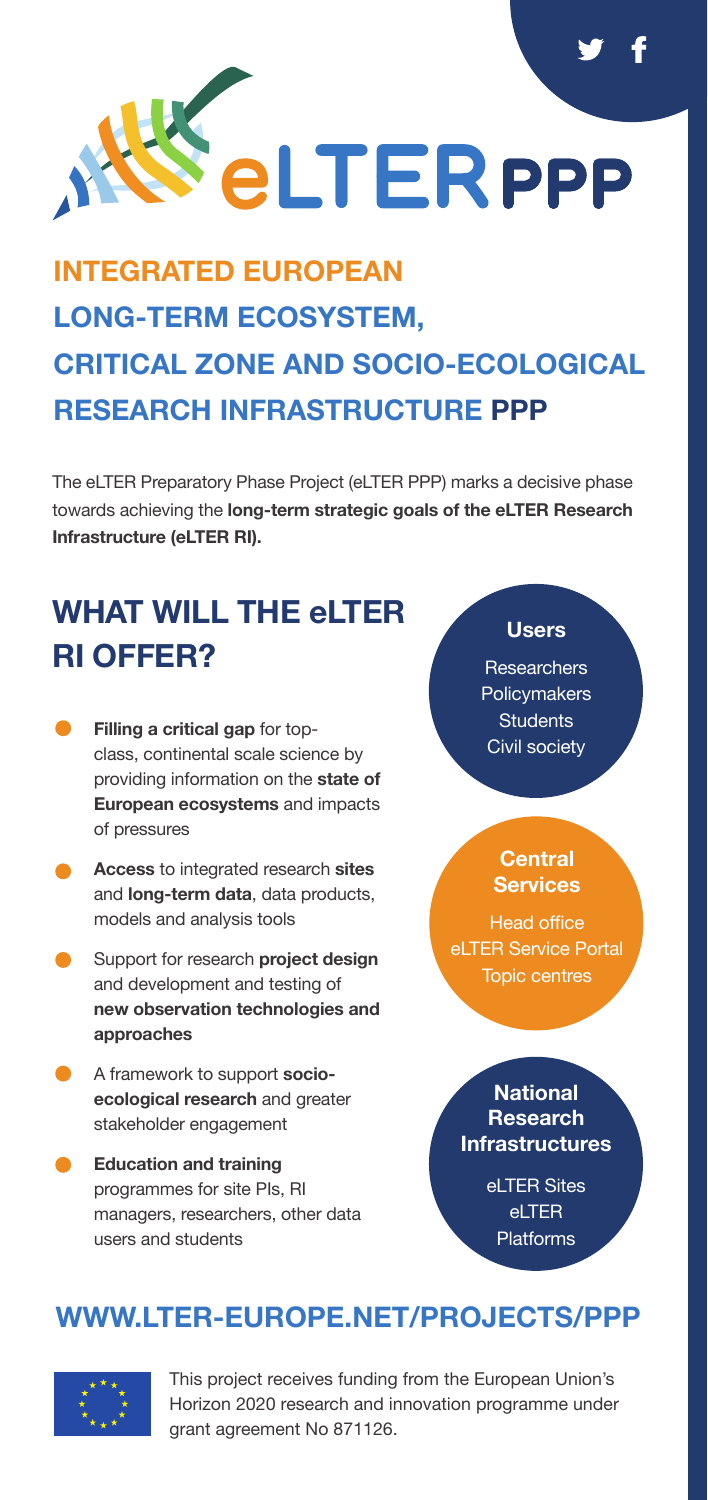

# **INTEGRATED EUROPEAN LONG-TERM ECOSYSTEM, CRITICAL ZONE AND SOCIO-ECOLOGICAL RESEARCH INFRASTRUCTURE PPP**

The eLTER Preparatory Phase Project (eLTER PPP) marks a decisive phase towards achieving the **long-term strategic goals of the eLTER Research Infrastructure (eLTER RI).**

# **WHAT WILL THE eLTER RI OFFER?**

- **Filling a critical gap** for topclass, continental scale science by providing information on the **state of European ecosystems** and impacts of pressures
- **Access** to integrated research **sites**  and **long-term data**, data products, models and analysis tools
- Support for research **project design** and development and testing of **new observation technologies and approaches**
- A framework to support **socioecological research** and greater stakeholder engagement
- **Education and training**  programmes for site PIs, RI managers, researchers, other data users and students

#### **Users**

**Researchers Policymakers Students** Civil society

#### **Central Services**

Head office eLTER Service Portal Topic centres

**National Research Infrastructures**

> eLTER Sites eLTER Platforms

## **[WWW.LTER-EUROPE.NET/PROJECTS/PPP](https://www.lter-europe.net/projects/PPP)**



This project receives funding from the European Union's Horizon 2020 research and innovation programme under grant agreement No 871126.